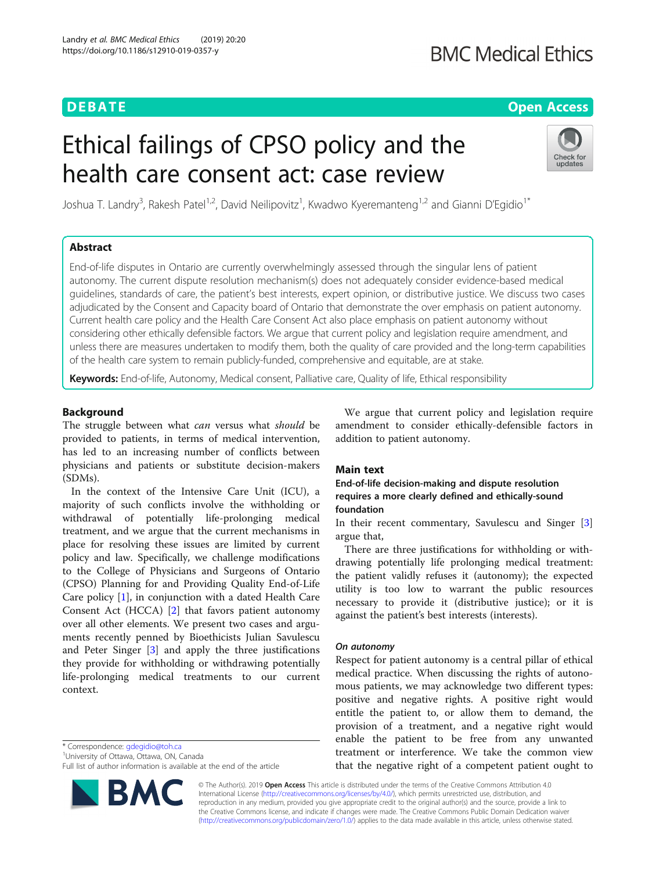# **BMC Medical Ethics**

# **DEBATE CONSERVATION DEBATE CONSERVATION**

# Ethical failings of CPSO policy and the health care consent act: case review



Joshua T. Landry<sup>3</sup>, Rakesh Patel<sup>1,2</sup>, David Neilipovitz<sup>1</sup>, Kwadwo Kyeremanteng<sup>1,2</sup> and Gianni D'Egidio<sup>1\*</sup>

# Abstract

End-of-life disputes in Ontario are currently overwhelmingly assessed through the singular lens of patient autonomy. The current dispute resolution mechanism(s) does not adequately consider evidence-based medical guidelines, standards of care, the patient's best interests, expert opinion, or distributive justice. We discuss two cases adjudicated by the Consent and Capacity board of Ontario that demonstrate the over emphasis on patient autonomy. Current health care policy and the Health Care Consent Act also place emphasis on patient autonomy without considering other ethically defensible factors. We argue that current policy and legislation require amendment, and unless there are measures undertaken to modify them, both the quality of care provided and the long-term capabilities of the health care system to remain publicly-funded, comprehensive and equitable, are at stake.

Keywords: End-of-life, Autonomy, Medical consent, Palliative care, Quality of life, Ethical responsibility

# Background

The struggle between what *can* versus what *should* be provided to patients, in terms of medical intervention, has led to an increasing number of conflicts between physicians and patients or substitute decision-makers (SDMs).

In the context of the Intensive Care Unit (ICU), a majority of such conflicts involve the withholding or withdrawal of potentially life-prolonging medical treatment, and we argue that the current mechanisms in place for resolving these issues are limited by current policy and law. Specifically, we challenge modifications to the College of Physicians and Surgeons of Ontario (CPSO) Planning for and Providing Quality End-of-Life Care policy [[1\]](#page-4-0), in conjunction with a dated Health Care Consent Act (HCCA) [[2](#page-4-0)] that favors patient autonomy over all other elements. We present two cases and arguments recently penned by Bioethicists Julian Savulescu and Peter Singer [\[3](#page-4-0)] and apply the three justifications they provide for withholding or withdrawing potentially life-prolonging medical treatments to our current context.

\* Correspondence: [gdegidio@toh.ca](mailto:gdegidio@toh.ca) <sup>1</sup>

University of Ottawa, Ottawa, ON, Canada

Full list of author information is available at the end of the article



We argue that current policy and legislation require amendment to consider ethically-defensible factors in addition to patient autonomy.

# Main text

# End-of-life decision-making and dispute resolution requires a more clearly defined and ethically-sound foundation

In their recent commentary, Savulescu and Singer [\[3](#page-4-0)] argue that,

There are three justifications for withholding or withdrawing potentially life prolonging medical treatment: the patient validly refuses it (autonomy); the expected utility is too low to warrant the public resources necessary to provide it (distributive justice); or it is against the patient's best interests (interests).

# On autonomy

Respect for patient autonomy is a central pillar of ethical medical practice. When discussing the rights of autonomous patients, we may acknowledge two different types: positive and negative rights. A positive right would entitle the patient to, or allow them to demand, the provision of a treatment, and a negative right would enable the patient to be free from any unwanted treatment or interference. We take the common view that the negative right of a competent patient ought to

© The Author(s). 2019 Open Access This article is distributed under the terms of the Creative Commons Attribution 4.0 International License [\(http://creativecommons.org/licenses/by/4.0/](http://creativecommons.org/licenses/by/4.0/)), which permits unrestricted use, distribution, and reproduction in any medium, provided you give appropriate credit to the original author(s) and the source, provide a link to the Creative Commons license, and indicate if changes were made. The Creative Commons Public Domain Dedication waiver [\(http://creativecommons.org/publicdomain/zero/1.0/](http://creativecommons.org/publicdomain/zero/1.0/)) applies to the data made available in this article, unless otherwise stated.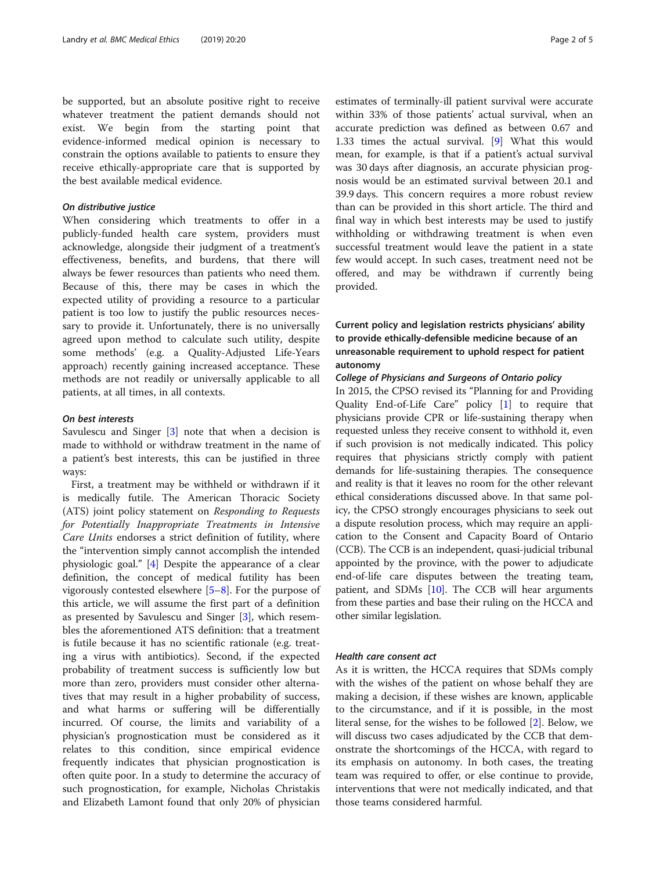be supported, but an absolute positive right to receive whatever treatment the patient demands should not exist. We begin from the starting point that evidence-informed medical opinion is necessary to constrain the options available to patients to ensure they receive ethically-appropriate care that is supported by the best available medical evidence.

# On distributive justice

When considering which treatments to offer in a publicly-funded health care system, providers must acknowledge, alongside their judgment of a treatment's effectiveness, benefits, and burdens, that there will always be fewer resources than patients who need them. Because of this, there may be cases in which the expected utility of providing a resource to a particular patient is too low to justify the public resources necessary to provide it. Unfortunately, there is no universally agreed upon method to calculate such utility, despite some methods' (e.g. a Quality-Adjusted Life-Years approach) recently gaining increased acceptance. These methods are not readily or universally applicable to all patients, at all times, in all contexts.

# On best interests

Savulescu and Singer [\[3](#page-4-0)] note that when a decision is made to withhold or withdraw treatment in the name of a patient's best interests, this can be justified in three ways:

First, a treatment may be withheld or withdrawn if it is medically futile. The American Thoracic Society (ATS) joint policy statement on Responding to Requests for Potentially Inappropriate Treatments in Intensive Care Units endorses a strict definition of futility, where the "intervention simply cannot accomplish the intended physiologic goal." [\[4](#page-4-0)] Despite the appearance of a clear definition, the concept of medical futility has been vigorously contested elsewhere [[5](#page-4-0)–[8](#page-4-0)]. For the purpose of this article, we will assume the first part of a definition as presented by Savulescu and Singer [\[3](#page-4-0)], which resembles the aforementioned ATS definition: that a treatment is futile because it has no scientific rationale (e.g. treating a virus with antibiotics). Second, if the expected probability of treatment success is sufficiently low but more than zero, providers must consider other alternatives that may result in a higher probability of success, and what harms or suffering will be differentially incurred. Of course, the limits and variability of a physician's prognostication must be considered as it relates to this condition, since empirical evidence frequently indicates that physician prognostication is often quite poor. In a study to determine the accuracy of such prognostication, for example, Nicholas Christakis and Elizabeth Lamont found that only 20% of physician

estimates of terminally-ill patient survival were accurate within 33% of those patients' actual survival, when an accurate prediction was defined as between 0.67 and 1.33 times the actual survival. [[9\]](#page-4-0) What this would mean, for example, is that if a patient's actual survival was 30 days after diagnosis, an accurate physician prognosis would be an estimated survival between 20.1 and 39.9 days. This concern requires a more robust review than can be provided in this short article. The third and final way in which best interests may be used to justify withholding or withdrawing treatment is when even successful treatment would leave the patient in a state few would accept. In such cases, treatment need not be offered, and may be withdrawn if currently being provided.

# Current policy and legislation restricts physicians' ability to provide ethically-defensible medicine because of an unreasonable requirement to uphold respect for patient autonomy

# College of Physicians and Surgeons of Ontario policy

In 2015, the CPSO revised its "Planning for and Providing Quality End-of-Life Care" policy [\[1\]](#page-4-0) to require that physicians provide CPR or life-sustaining therapy when requested unless they receive consent to withhold it, even if such provision is not medically indicated. This policy requires that physicians strictly comply with patient demands for life-sustaining therapies. The consequence and reality is that it leaves no room for the other relevant ethical considerations discussed above. In that same policy, the CPSO strongly encourages physicians to seek out a dispute resolution process, which may require an application to the Consent and Capacity Board of Ontario (CCB). The CCB is an independent, quasi-judicial tribunal appointed by the province, with the power to adjudicate end-of-life care disputes between the treating team, patient, and SDMs [\[10\]](#page-4-0). The CCB will hear arguments from these parties and base their ruling on the HCCA and other similar legislation.

# Health care consent act

As it is written, the HCCA requires that SDMs comply with the wishes of the patient on whose behalf they are making a decision, if these wishes are known, applicable to the circumstance, and if it is possible, in the most literal sense, for the wishes to be followed [[2\]](#page-4-0). Below, we will discuss two cases adjudicated by the CCB that demonstrate the shortcomings of the HCCA, with regard to its emphasis on autonomy. In both cases, the treating team was required to offer, or else continue to provide, interventions that were not medically indicated, and that those teams considered harmful.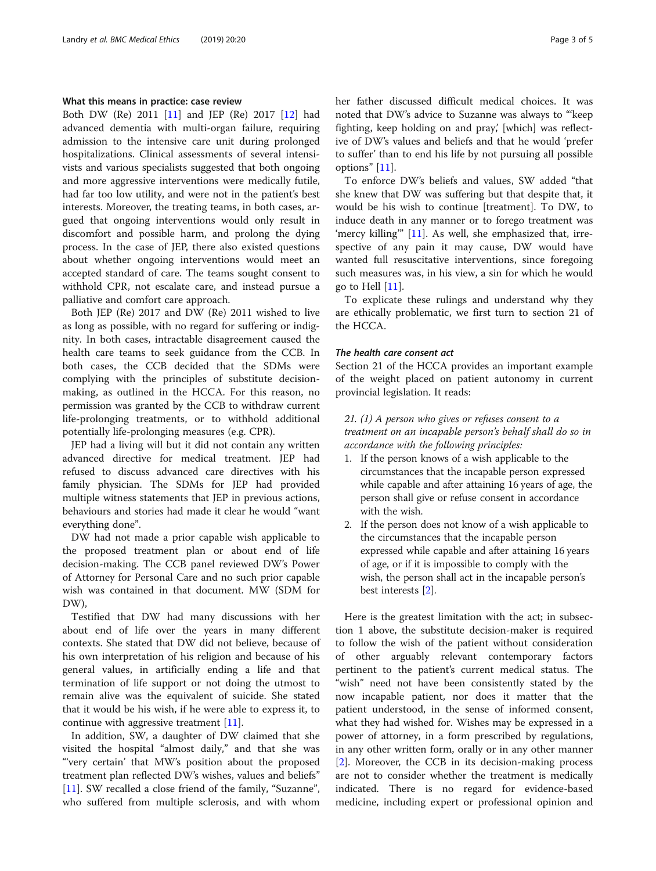# What this means in practice: case review

Both DW (Re) 2011 [\[11\]](#page-4-0) and JEP (Re) 2017 [[12\]](#page-4-0) had advanced dementia with multi-organ failure, requiring admission to the intensive care unit during prolonged hospitalizations. Clinical assessments of several intensivists and various specialists suggested that both ongoing and more aggressive interventions were medically futile, had far too low utility, and were not in the patient's best interests. Moreover, the treating teams, in both cases, argued that ongoing interventions would only result in discomfort and possible harm, and prolong the dying process. In the case of JEP, there also existed questions about whether ongoing interventions would meet an accepted standard of care. The teams sought consent to withhold CPR, not escalate care, and instead pursue a palliative and comfort care approach.

Both JEP (Re) 2017 and DW (Re) 2011 wished to live as long as possible, with no regard for suffering or indignity. In both cases, intractable disagreement caused the health care teams to seek guidance from the CCB. In both cases, the CCB decided that the SDMs were complying with the principles of substitute decisionmaking, as outlined in the HCCA. For this reason, no permission was granted by the CCB to withdraw current life-prolonging treatments, or to withhold additional potentially life-prolonging measures (e.g. CPR).

JEP had a living will but it did not contain any written advanced directive for medical treatment. JEP had refused to discuss advanced care directives with his family physician. The SDMs for JEP had provided multiple witness statements that JEP in previous actions, behaviours and stories had made it clear he would "want everything done".

DW had not made a prior capable wish applicable to the proposed treatment plan or about end of life decision-making. The CCB panel reviewed DW's Power of Attorney for Personal Care and no such prior capable wish was contained in that document. MW (SDM for DW),

Testified that DW had many discussions with her about end of life over the years in many different contexts. She stated that DW did not believe, because of his own interpretation of his religion and because of his general values, in artificially ending a life and that termination of life support or not doing the utmost to remain alive was the equivalent of suicide. She stated that it would be his wish, if he were able to express it, to continue with aggressive treatment [\[11](#page-4-0)].

In addition, SW, a daughter of DW claimed that she visited the hospital "almost daily," and that she was "'very certain' that MW's position about the proposed treatment plan reflected DW's wishes, values and beliefs" [[11\]](#page-4-0). SW recalled a close friend of the family, "Suzanne", who suffered from multiple sclerosis, and with whom her father discussed difficult medical choices. It was noted that DW's advice to Suzanne was always to "'keep fighting, keep holding on and pray, [which] was reflective of DW's values and beliefs and that he would 'prefer to suffer' than to end his life by not pursuing all possible options" [[11\]](#page-4-0).

To enforce DW's beliefs and values, SW added "that she knew that DW was suffering but that despite that, it would be his wish to continue [treatment]. To DW, to induce death in any manner or to forego treatment was 'mercy killing" [[11](#page-4-0)]. As well, she emphasized that, irrespective of any pain it may cause, DW would have wanted full resuscitative interventions, since foregoing such measures was, in his view, a sin for which he would go to Hell [[11\]](#page-4-0).

To explicate these rulings and understand why they are ethically problematic, we first turn to section 21 of the HCCA.

### The health care consent act

Section 21 of the HCCA provides an important example of the weight placed on patient autonomy in current provincial legislation. It reads:

# 21. (1) A person who gives or refuses consent to a treatment on an incapable person's behalf shall do so in accordance with the following principles:

- 1. If the person knows of a wish applicable to the circumstances that the incapable person expressed while capable and after attaining 16 years of age, the person shall give or refuse consent in accordance with the wish.
- 2. If the person does not know of a wish applicable to the circumstances that the incapable person expressed while capable and after attaining 16 years of age, or if it is impossible to comply with the wish, the person shall act in the incapable person's best interests [\[2](#page-4-0)].

Here is the greatest limitation with the act; in subsection 1 above, the substitute decision-maker is required to follow the wish of the patient without consideration of other arguably relevant contemporary factors pertinent to the patient's current medical status. The "wish" need not have been consistently stated by the now incapable patient, nor does it matter that the patient understood, in the sense of informed consent, what they had wished for. Wishes may be expressed in a power of attorney, in a form prescribed by regulations, in any other written form, orally or in any other manner [[2\]](#page-4-0). Moreover, the CCB in its decision-making process are not to consider whether the treatment is medically indicated. There is no regard for evidence-based medicine, including expert or professional opinion and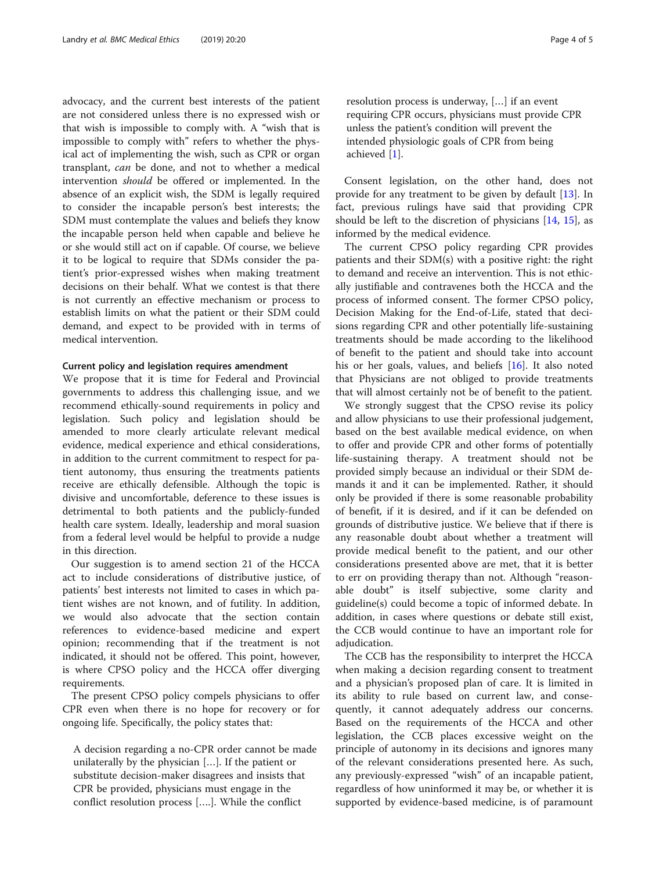advocacy, and the current best interests of the patient are not considered unless there is no expressed wish or that wish is impossible to comply with. A "wish that is impossible to comply with" refers to whether the physical act of implementing the wish, such as CPR or organ transplant, can be done, and not to whether a medical intervention should be offered or implemented. In the absence of an explicit wish, the SDM is legally required to consider the incapable person's best interests; the SDM must contemplate the values and beliefs they know the incapable person held when capable and believe he or she would still act on if capable. Of course, we believe it to be logical to require that SDMs consider the patient's prior-expressed wishes when making treatment decisions on their behalf. What we contest is that there is not currently an effective mechanism or process to establish limits on what the patient or their SDM could demand, and expect to be provided with in terms of medical intervention.

# Current policy and legislation requires amendment

We propose that it is time for Federal and Provincial governments to address this challenging issue, and we recommend ethically-sound requirements in policy and legislation. Such policy and legislation should be amended to more clearly articulate relevant medical evidence, medical experience and ethical considerations, in addition to the current commitment to respect for patient autonomy, thus ensuring the treatments patients receive are ethically defensible. Although the topic is divisive and uncomfortable, deference to these issues is detrimental to both patients and the publicly-funded health care system. Ideally, leadership and moral suasion from a federal level would be helpful to provide a nudge in this direction.

Our suggestion is to amend section 21 of the HCCA act to include considerations of distributive justice, of patients' best interests not limited to cases in which patient wishes are not known, and of futility. In addition, we would also advocate that the section contain references to evidence-based medicine and expert opinion; recommending that if the treatment is not indicated, it should not be offered. This point, however, is where CPSO policy and the HCCA offer diverging requirements.

The present CPSO policy compels physicians to offer CPR even when there is no hope for recovery or for ongoing life. Specifically, the policy states that:

A decision regarding a no-CPR order cannot be made unilaterally by the physician […]. If the patient or substitute decision-maker disagrees and insists that CPR be provided, physicians must engage in the conflict resolution process [….]. While the conflict

resolution process is underway, […] if an event requiring CPR occurs, physicians must provide CPR unless the patient's condition will prevent the intended physiologic goals of CPR from being achieved [\[1](#page-4-0)].

Consent legislation, on the other hand, does not provide for any treatment to be given by default [\[13](#page-4-0)]. In fact, previous rulings have said that providing CPR should be left to the discretion of physicians [\[14](#page-4-0), [15\]](#page-4-0), as informed by the medical evidence.

The current CPSO policy regarding CPR provides patients and their SDM(s) with a positive right: the right to demand and receive an intervention. This is not ethically justifiable and contravenes both the HCCA and the process of informed consent. The former CPSO policy, Decision Making for the End-of-Life, stated that decisions regarding CPR and other potentially life-sustaining treatments should be made according to the likelihood of benefit to the patient and should take into account his or her goals, values, and beliefs [\[16](#page-4-0)]. It also noted that Physicians are not obliged to provide treatments that will almost certainly not be of benefit to the patient.

We strongly suggest that the CPSO revise its policy and allow physicians to use their professional judgement, based on the best available medical evidence, on when to offer and provide CPR and other forms of potentially life-sustaining therapy. A treatment should not be provided simply because an individual or their SDM demands it and it can be implemented. Rather, it should only be provided if there is some reasonable probability of benefit, if it is desired, and if it can be defended on grounds of distributive justice. We believe that if there is any reasonable doubt about whether a treatment will provide medical benefit to the patient, and our other considerations presented above are met, that it is better to err on providing therapy than not. Although "reasonable doubt" is itself subjective, some clarity and guideline(s) could become a topic of informed debate. In addition, in cases where questions or debate still exist, the CCB would continue to have an important role for adjudication.

The CCB has the responsibility to interpret the HCCA when making a decision regarding consent to treatment and a physician's proposed plan of care. It is limited in its ability to rule based on current law, and consequently, it cannot adequately address our concerns. Based on the requirements of the HCCA and other legislation, the CCB places excessive weight on the principle of autonomy in its decisions and ignores many of the relevant considerations presented here. As such, any previously-expressed "wish" of an incapable patient, regardless of how uninformed it may be, or whether it is supported by evidence-based medicine, is of paramount